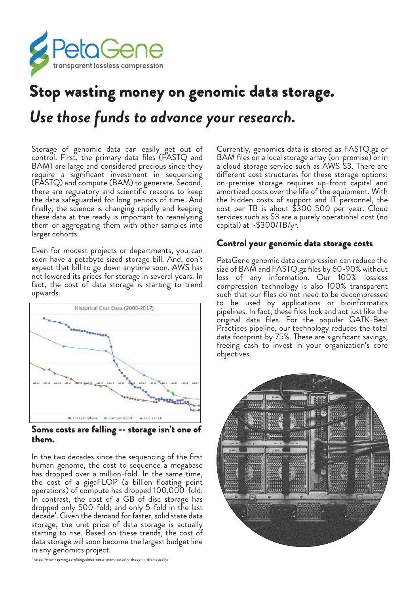

## Stop wasting money on genomic data storage. *Use those funds to advance your research.*

Storage of genomic data can easily get out of control. First, the primary data files (FASTQ and BAM) are large and considered precious since they require a significant investment in sequencing (FASTQ) and compute (BAM) to generate. Second, there are regulatory and scientific reasons to keep the data safeguarded for long periods of time. And finally, the science is changing rapidly and keeping these data at the ready is important to reanalyzing them or aggregating them with other samples into larger cohorts.

Even for modest projects or departments, you can soon have a petabyte sized storage bill. And, don't expect that bill to go down anytime soon. AWS has not lowered its prices for storage in several years. In fact, the cost of data storage is starting to trend upwards.



Some costs are falling -- storage isn't one of them.

In the two decades since the sequencing of the first human genome, the cost to sequence a megabase has dropped over a million-fold. In the same time, the cost of a gigaFLOP (a billion floating point operations) of compute has dropped 100,000-fold. In contrast, the cost of a GB of disc storage has dropped only 500-fold; and only 5-fold in the last decade<sup>1</sup>. Given the demand for faster, solid state data storage, the unit price of data storage is actually starting to rise. Based on these trends, the cost of data storage will soon become the largest budget line in any genomics project.

Currently, genomics data is stored as FASTQ.gz or BAM files on a local storage array (on-premise) or in a cloud storage service such as AWS S3. There are diferent cost structures for these storage options: on-premise storage requires up-front capital and amortized costs over the life of the equipment. With the hidden costs of support and IT personnel, the cost per TB is about \$300-500 per year. Cloud services such as S3 are a purely operational cost (no capital) at  $\sim$  \$300/TB/yr.

## Control your genomic data storage costs

PetaGene genomic data compression can reduce the size of BAM and FASTQ.gz files by 60-90% without loss of any information. Our 100% lossless compression technology is also 100% transparent such that our files do not need to be decompressed to be used by applications or bioinformatics pipelines. In fact, these files look and act just like the original data files. For the popular GATK-Best Practices pipeline, our technology reduces the total data footprint by 75%. These are significant savings, freeing cash to invest in your organization's core objectives.



 $\,$  ' https://www.kapwing.com/blog/cloud-costs-arent-actually-dropping-dramatically/